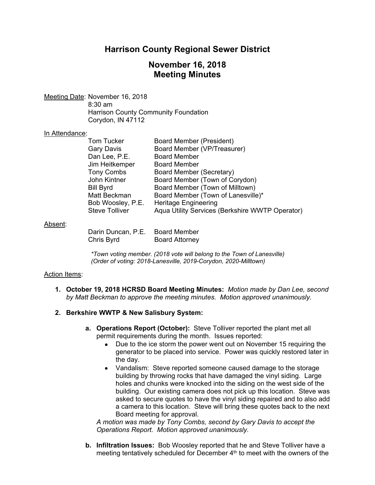## **Harrison County Regional Sewer District**

### **November 16, 2018 Meeting Minutes**

Meeting Date: November 16, 2018 8:30 am Harrison County Community Foundation Corydon, IN 47112

#### In Attendance:

| Tom Tucker            | <b>Board Member (President)</b>                 |
|-----------------------|-------------------------------------------------|
| Gary Davis            | Board Member (VP/Treasurer)                     |
| Dan Lee, P.E.         | <b>Board Member</b>                             |
| Jim Heitkemper        | <b>Board Member</b>                             |
| <b>Tony Combs</b>     | Board Member (Secretary)                        |
| John Kintner          | Board Member (Town of Corydon)                  |
| Bill Byrd             | Board Member (Town of Milltown)                 |
| Matt Beckman          | Board Member (Town of Lanesville)*              |
| Bob Woosley, P.E.     | <b>Heritage Engineering</b>                     |
| <b>Steve Tolliver</b> | Aqua Utility Services (Berkshire WWTP Operator) |
|                       |                                                 |

#### Absent:

| Darin Duncan, P.E. | <b>Board Member</b>   |
|--------------------|-----------------------|
| Chris Byrd         | <b>Board Attorney</b> |

*\*Town voting member. (2018 vote will belong to the Town of Lanesville) (Order of voting: 2018-Lanesville, 2019-Corydon, 2020-Milltown)* 

#### Action Items:

**1. October 19, 2018 HCRSD Board Meeting Minutes:** *Motion made by Dan Lee, second by Matt Beckman to approve the meeting minutes. Motion approved unanimously.*

#### **2. Berkshire WWTP & New Salisbury System:**

- **a. Operations Report (October):** Steve Tolliver reported the plant met all permit requirements during the month. Issues reported:
	- Due to the ice storm the power went out on November 15 requiring the generator to be placed into service. Power was quickly restored later in the day.
	- Vandalism: Steve reported someone caused damage to the storage building by throwing rocks that have damaged the vinyl siding. Large holes and chunks were knocked into the siding on the west side of the building. Our existing camera does not pick up this location. Steve was asked to secure quotes to have the vinyl siding repaired and to also add a camera to this location. Steve will bring these quotes back to the next Board meeting for approval.

*A motion was made by Tony Combs, second by Gary Davis to accept the Operations Report. Motion approved unanimously.* 

**b. Infiltration Issues:** Bob Woosley reported that he and Steve Tolliver have a meeting tentatively scheduled for December  $4<sup>th</sup>$  to meet with the owners of the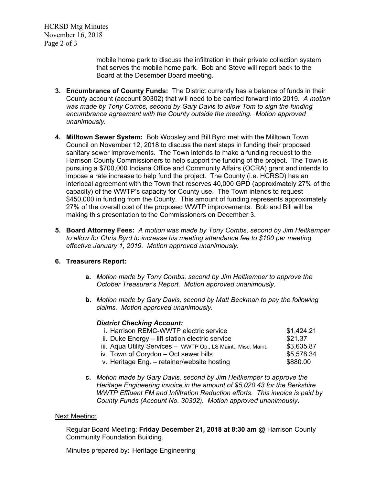HCRSD Mtg Minutes November 16, 2018 Page 2 of 3

> mobile home park to discuss the infiltration in their private collection system that serves the mobile home park. Bob and Steve will report back to the Board at the December Board meeting.

- **3. Encumbrance of County Funds:** The District currently has a balance of funds in their County account (account 30302) that will need to be carried forward into 2019. *A motion was made by Tony Combs, second by Gary Davis to allow Tom to sign the funding encumbrance agreement with the County outside the meeting. Motion approved unanimously.*
- **4. Milltown Sewer System:** Bob Woosley and Bill Byrd met with the Milltown Town Council on November 12, 2018 to discuss the next steps in funding their proposed sanitary sewer improvements. The Town intends to make a funding request to the Harrison County Commissioners to help support the funding of the project. The Town is pursuing a \$700,000 Indiana Office and Community Affairs (OCRA) grant and intends to impose a rate increase to help fund the project. The County (i.e. HCRSD) has an interlocal agreement with the Town that reserves 40,000 GPD (approximately 27% of the capacity) of the WWTP's capacity for County use. The Town intends to request \$450,000 in funding from the County. This amount of funding represents approximately 27% of the overall cost of the proposed WWTP improvements. Bob and Bill will be making this presentation to the Commissioners on December 3.
- **5. Board Attorney Fees:** *A motion was made by Tony Combs, second by Jim Heitkemper to allow for Chris Byrd to increase his meeting attendance fee to \$100 per meeting effective January 1, 2019. Motion approved unanimously.*

### **6. Treasurers Report:**

- **a.** *Motion made by Tony Combs, second by Jim Heitkemper to approve the October Treasurer's Report. Motion approved unanimously.*
- **b.** *Motion made by Gary Davis, second by Matt Beckman to pay the following claims. Motion approved unanimously.*

#### *District Checking Account:*

| i. Harrison REMC-WWTP electric service                         | \$1,424.21 |
|----------------------------------------------------------------|------------|
| ii. Duke Energy – lift station electric service                | \$21.37    |
| iii. Aqua Utility Services - WWTP Op., LS Maint., Misc. Maint. | \$3,635.87 |
| iv. Town of Corydon – Oct sewer bills                          | \$5,578.34 |
| v. Heritage Eng. - retainer/website hosting                    | \$880.00   |

**c.** *Motion made by Gary Davis, second by Jim Heitkemper to approve the Heritage Engineering invoice in the amount of \$5,020.43 for the Berkshire WWTP Effluent FM and Infiltration Reduction efforts. This invoice is paid by County Funds (Account No. 30302). Motion approved unanimously*.

#### Next Meeting:

Regular Board Meeting: **Friday December 21, 2018 at 8:30 am** @ Harrison County Community Foundation Building.

Minutes prepared by: Heritage Engineering